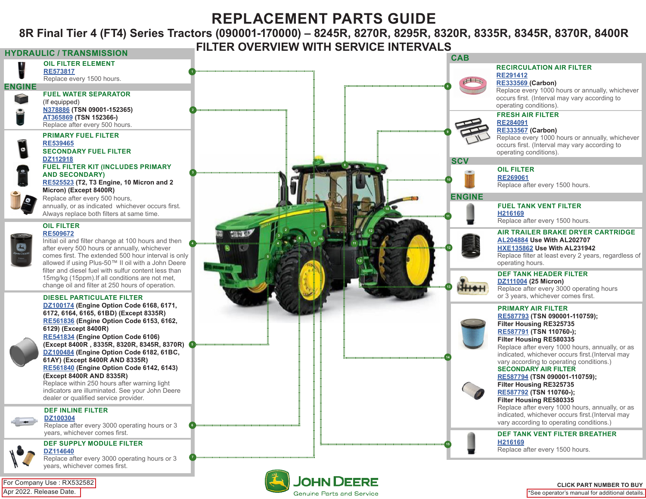# **REPLACEMENT PARTS GUIDE**

## **8R Final Tier 4 (FT4) Series Tractors (090001-170000) – 8245R, 8270R, 8295R, 8320R, 8335R, 8345R, 8370R, 8400R**





Genuine Parts and Service

\*See operator's manual for additional details.

Apr 2022. Release Date.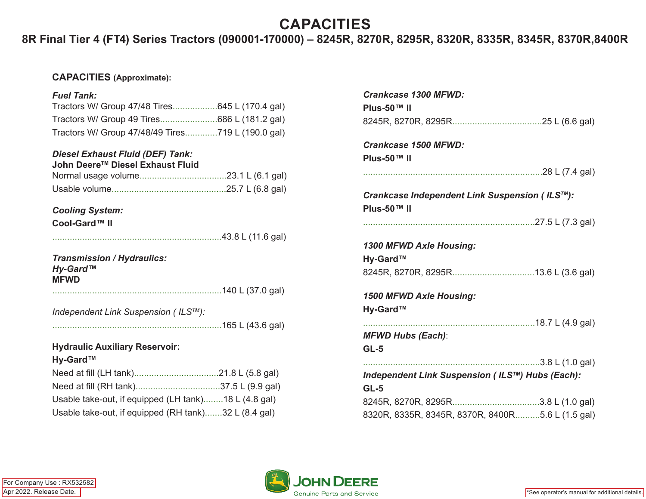## **CAPACITIES**

### **8R Final Tier 4 (FT4) Series Tractors (090001-170000) – 8245R, 8270R, 8295R, 8320R, 8335R, 8345R, 8370R,8400R**

#### **CAPACITIES (Approximate):**

## *Fuel Tank:* Tractors W/ Group 47/48 Tires..................645 L (170.4 gal) Tractors W/ Group 49 Tires.......................686 L (181.2 gal) Tractors W/ Group 47/48/49 Tires.............719 L (190.0 gal) *Diesel Exhaust Fluid (DEF) Tank:* **John Deere™ Diesel Exhaust Fluid** Normal usage volume...................................23.1 L (6.1 gal) Usable volume..............................................25.7 L (6.8 gal) *Cooling System:* **Cool-Gard™ II** ....................................................................43.8 L (11.6 gal) *Transmission / Hydraulics: Hy-Gard™* **MFWD** ....................................................................140 L (37.0 gal) *Independent Link Suspension ( ILSTM):* ....................................................................165 L (43.6 gal) **Hydraulic Auxiliary Reservoir:**

#### **Hy-Gard™**

| Usable take-out, if equipped (LH tank)18 L (4.8 gal) |  |
|------------------------------------------------------|--|
| Usable take-out, if equipped (RH tank)32 L (8.4 gal) |  |

| Crankcase 1300 MFWD:<br>Plus-50™ II                          |  |
|--------------------------------------------------------------|--|
|                                                              |  |
| Crankcase 1500 MFWD:<br>Plus-50™ II                          |  |
|                                                              |  |
| Crankcase Independent Link Suspension (ILS™):<br>Plus-50™ II |  |
|                                                              |  |
| 1300 MFWD Axle Housing:<br>Hy-Gard™                          |  |
|                                                              |  |
| 1500 MFWD Axle Housing:<br>Hy-Gard™                          |  |
|                                                              |  |
| <b>MFWD Hubs (Each):</b><br>$GL-5$                           |  |
|                                                              |  |
| Independent Link Suspension (ILS™) Hubs (Each):<br>$GL-5$    |  |
| 8245R, 8270R, 8295R3.8 L (1.0 gal)                           |  |
| 8320R, 8335R, 8345R, 8370R, 8400R5.6 L (1.5 gal)             |  |





\*See operator's manual for additional details.